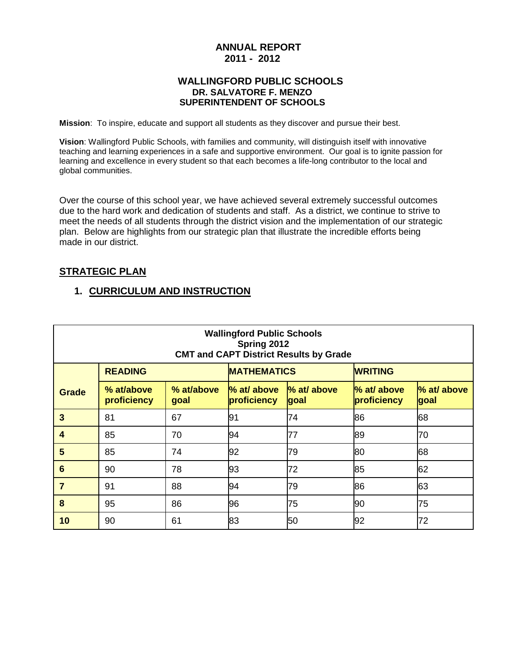# **ANNUAL REPORT 2011 - 2012**

#### **WALLINGFORD PUBLIC SCHOOLS DR. SALVATORE F. MENZO SUPERINTENDENT OF SCHOOLS**

**Mission**: To inspire, educate and support all students as they discover and pursue their best.

**Vision**: Wallingford Public Schools, with families and community, will distinguish itself with innovative teaching and learning experiences in a safe and supportive environment. Our goal is to ignite passion for learning and excellence in every student so that each becomes a life-long contributor to the local and global communities.

Over the course of this school year, we have achieved several extremely successful outcomes due to the hard work and dedication of students and staff. As a district, we continue to strive to meet the needs of all students through the district vision and the implementation of our strategic plan. Below are highlights from our strategic plan that illustrate the incredible efforts being made in our district.

# **STRATEGIC PLAN**

# **1. CURRICULUM AND INSTRUCTION**

| <b>Wallingford Public Schools</b><br>Spring 2012<br><b>CMT and CAPT District Results by Grade</b> |                           |                    |                            |                     |                            |                     |  |  |  |
|---------------------------------------------------------------------------------------------------|---------------------------|--------------------|----------------------------|---------------------|----------------------------|---------------------|--|--|--|
|                                                                                                   | <b>READING</b>            |                    | <b>MATHEMATICS</b>         |                     | <b>WRITING</b>             |                     |  |  |  |
| <b>Grade</b>                                                                                      | % at/above<br>proficiency | % at/above<br>goal | % at/ above<br>proficiency | % at/ above<br>goal | % at/ above<br>proficiency | % at/ above<br>goal |  |  |  |
| $\overline{3}$                                                                                    | 81                        | 67                 | 91                         | 74                  | 86                         | 68                  |  |  |  |
| $\boldsymbol{4}$                                                                                  | 85                        | 70                 | 94                         | 77                  | 89                         | 70                  |  |  |  |
| 5                                                                                                 | 85                        | 74                 | 92                         | 79                  | 80                         | 68                  |  |  |  |
| $6\phantom{1}6$                                                                                   | 90                        | 78                 | 93                         | 72                  | 85                         | 62                  |  |  |  |
| $\overline{7}$                                                                                    | 91                        | 88                 | 94                         | 79                  | 86                         | 63                  |  |  |  |
| 8                                                                                                 | 95                        | 86                 | 96                         | 75                  | 90                         | 75                  |  |  |  |
| 10                                                                                                | 90                        | 61                 | 83                         | 50                  | 92                         | 72                  |  |  |  |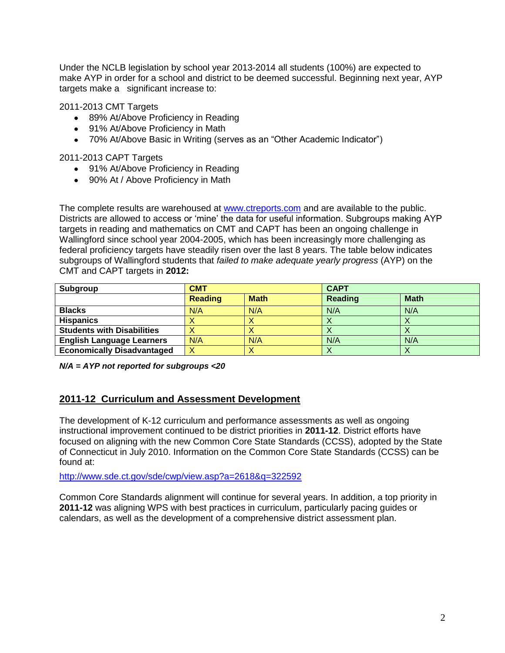Under the NCLB legislation by school year 2013-2014 all students (100%) are expected to make AYP in order for a school and district to be deemed successful. Beginning next year, AYP targets make a significant increase to:

2011-2013 CMT Targets

- 89% At/Above Proficiency in Reading
- 91% At/Above Proficiency in Math
- 70% At/Above Basic in Writing (serves as an "Other Academic Indicator")

2011-2013 CAPT Targets

- 91% At/Above Proficiency in Reading
- 90% At / Above Proficiency in Math

The complete results are warehoused at www.ctreports.com and are available to the public. Districts are allowed to access or 'mine' the data for useful information. Subgroups making AYP targets in reading and mathematics on CMT and CAPT has been an ongoing challenge in Wallingford since school year 2004-2005, which has been increasingly more challenging as federal proficiency targets have steadily risen over the last 8 years. The table below indicates subgroups of Wallingford students that *failed to make adequate yearly progress* (AYP) on the CMT and CAPT targets in **2012:**

| Subgroup                          | <b>CMT</b>     |             | <b>CAPT</b>    |             |  |
|-----------------------------------|----------------|-------------|----------------|-------------|--|
|                                   | <b>Reading</b> | <b>Math</b> | <b>Reading</b> | <b>Math</b> |  |
| <b>Blacks</b>                     | N/A            | N/A         | N/A            | N/A         |  |
| <b>Hispanics</b>                  |                | ∧           | ∧              |             |  |
| <b>Students with Disabilities</b> |                | ∧           | ↗              |             |  |
| <b>English Language Learners</b>  | N/A            | N/A         | N/A            | N/A         |  |
| <b>Economically Disadvantaged</b> | Χ              | ∧           | ↗              |             |  |

*N/A = AYP not reported for subgroups <20*

### **2011-12 Curriculum and Assessment Development**

The development of K-12 curriculum and performance assessments as well as ongoing instructional improvement continued to be district priorities in **2011-12**. District efforts have focused on aligning with the new Common Core State Standards (CCSS), adopted by the State of Connecticut in July 2010. Information on the Common Core State Standards (CCSS) can be found at:

<http://www.sde.ct.gov/sde/cwp/view.asp?a=2618&q=322592>

Common Core Standards alignment will continue for several years. In addition, a top priority in **2011-12** was aligning WPS with best practices in curriculum, particularly pacing guides or calendars, as well as the development of a comprehensive district assessment plan.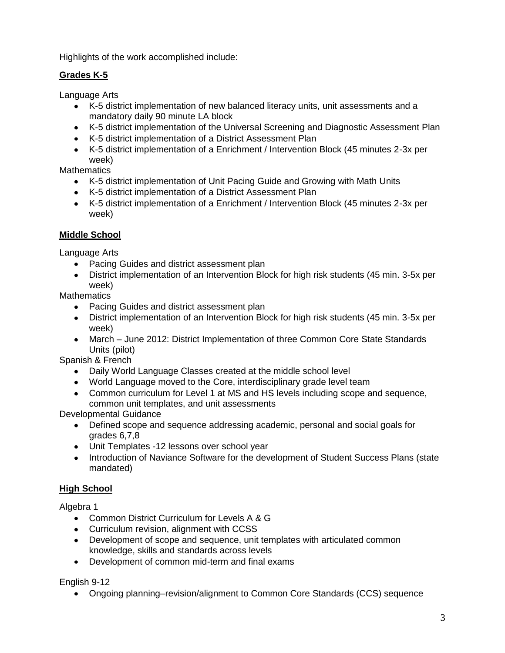Highlights of the work accomplished include:

# **Grades K-5**

Language Arts

- K-5 district implementation of new balanced literacy units, unit assessments and a mandatory daily 90 minute LA block
- K-5 district implementation of the Universal Screening and Diagnostic Assessment Plan
- K-5 district implementation of a District Assessment Plan
- K-5 district implementation of a Enrichment / Intervention Block (45 minutes 2-3x per week)

**Mathematics** 

- K-5 district implementation of Unit Pacing Guide and Growing with Math Units
- K-5 district implementation of a District Assessment Plan
- K-5 district implementation of a Enrichment / Intervention Block (45 minutes 2-3x per week)

# **Middle School**

Language Arts

- Pacing Guides and district assessment plan
- District implementation of an Intervention Block for high risk students (45 min. 3-5x per week)

**Mathematics** 

- Pacing Guides and district assessment plan
- District implementation of an Intervention Block for high risk students (45 min. 3-5x per week)
- March June 2012: District Implementation of three Common Core State Standards Units (pilot)

Spanish & French

- Daily World Language Classes created at the middle school level
- World Language moved to the Core, interdisciplinary grade level team
- Common curriculum for Level 1 at MS and HS levels including scope and sequence, common unit templates, and unit assessments

Developmental Guidance

- Defined scope and sequence addressing academic, personal and social goals for grades 6,7,8
- Unit Templates -12 lessons over school year
- Introduction of Naviance Software for the development of Student Success Plans (state mandated)

# **High School**

Algebra 1

- Common District Curriculum for Levels A & G
- Curriculum revision, alignment with CCSS
- Development of scope and sequence, unit templates with articulated common knowledge, skills and standards across levels
- Development of common mid-term and final exams

English 9-12

Ongoing planning–revision/alignment to Common Core Standards (CCS) sequence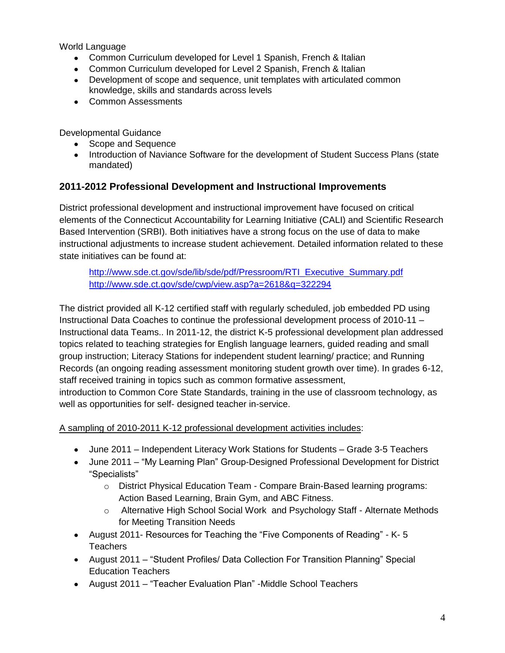World Language

- Common Curriculum developed for Level 1 Spanish, French & Italian
- Common Curriculum developed for Level 2 Spanish, French & Italian
- Development of scope and sequence, unit templates with articulated common knowledge, skills and standards across levels
- Common Assessments

Developmental Guidance

- Scope and Sequence
- Introduction of Naviance Software for the development of Student Success Plans (state mandated)

# **2011-2012 Professional Development and Instructional Improvements**

District professional development and instructional improvement have focused on critical elements of the Connecticut Accountability for Learning Initiative (CALI) and Scientific Research Based Intervention (SRBI). Both initiatives have a strong focus on the use of data to make instructional adjustments to increase student achievement. Detailed information related to these state initiatives can be found at:

[http://www.sde.ct.gov/sde/lib/sde/pdf/Pressroom/RTI\\_Executive\\_Summary.pdf](http://www.sde.ct.gov/sde/lib/sde/pdf/Pressroom/RTI_Executive_Summary.pdf)  <http://www.sde.ct.gov/sde/cwp/view.asp?a=2618&q=322294>

The district provided all K-12 certified staff with regularly scheduled, job embedded PD using Instructional Data Coaches to continue the professional development process of 2010-11 – Instructional data Teams.. In 2011-12, the district K-5 professional development plan addressed topics related to teaching strategies for English language learners, guided reading and small group instruction; Literacy Stations for independent student learning/ practice; and Running Records (an ongoing reading assessment monitoring student growth over time). In grades 6-12, staff received training in topics such as common formative assessment, introduction to Common Core State Standards, training in the use of classroom technology, as well as opportunities for self- designed teacher in-service.

A sampling of 2010-2011 K-12 professional development activities includes:

- June 2011 Independent Literacy Work Stations for Students Grade 3-5 Teachers
- June 2011 "My Learning Plan" Group-Designed Professional Development for District "Specialists"
	- o District Physical Education Team Compare Brain-Based learning programs: Action Based Learning, Brain Gym, and ABC Fitness.
	- o Alternative High School Social Work and Psychology Staff Alternate Methods for Meeting Transition Needs
- August 2011- Resources for Teaching the "Five Components of Reading" K- 5 **Teachers**
- August 2011 "Student Profiles/ Data Collection For Transition Planning" Special Education Teachers
- August 2011 "Teacher Evaluation Plan" -Middle School Teachers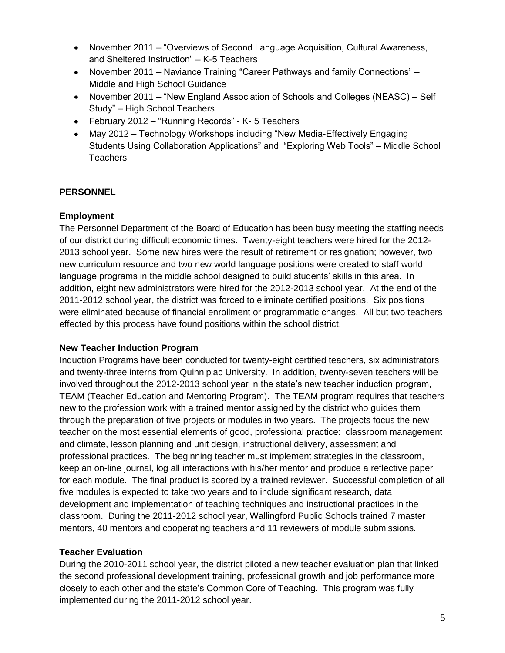- November 2011 "Overviews of Second Language Acquisition, Cultural Awareness, and Sheltered Instruction" – K-5 Teachers
- November 2011 Naviance Training "Career Pathways and family Connections" Middle and High School Guidance
- November 2011 "New England Association of Schools and Colleges (NEASC) Self Study" – High School Teachers
- February 2012 "Running Records" K- 5 Teachers
- May 2012 Technology Workshops including "New Media-Effectively Engaging Students Using Collaboration Applications" and "Exploring Web Tools" – Middle School **Teachers**

## **PERSONNEL**

### **Employment**

The Personnel Department of the Board of Education has been busy meeting the staffing needs of our district during difficult economic times. Twenty-eight teachers were hired for the 2012- 2013 school year. Some new hires were the result of retirement or resignation; however, two new curriculum resource and two new world language positions were created to staff world language programs in the middle school designed to build students' skills in this area. In addition, eight new administrators were hired for the 2012-2013 school year. At the end of the 2011-2012 school year, the district was forced to eliminate certified positions. Six positions were eliminated because of financial enrollment or programmatic changes. All but two teachers effected by this process have found positions within the school district.

### **New Teacher Induction Program**

Induction Programs have been conducted for twenty-eight certified teachers, six administrators and twenty-three interns from Quinnipiac University. In addition, twenty-seven teachers will be involved throughout the 2012-2013 school year in the state's new teacher induction program, TEAM (Teacher Education and Mentoring Program). The TEAM program requires that teachers new to the profession work with a trained mentor assigned by the district who guides them through the preparation of five projects or modules in two years. The projects focus the new teacher on the most essential elements of good, professional practice: classroom management and climate, lesson planning and unit design, instructional delivery, assessment and professional practices. The beginning teacher must implement strategies in the classroom, keep an on-line journal, log all interactions with his/her mentor and produce a reflective paper for each module. The final product is scored by a trained reviewer. Successful completion of all five modules is expected to take two years and to include significant research, data development and implementation of teaching techniques and instructional practices in the classroom. During the 2011-2012 school year, Wallingford Public Schools trained 7 master mentors, 40 mentors and cooperating teachers and 11 reviewers of module submissions.

### **Teacher Evaluation**

During the 2010-2011 school year, the district piloted a new teacher evaluation plan that linked the second professional development training, professional growth and job performance more closely to each other and the state's Common Core of Teaching. This program was fully implemented during the 2011-2012 school year.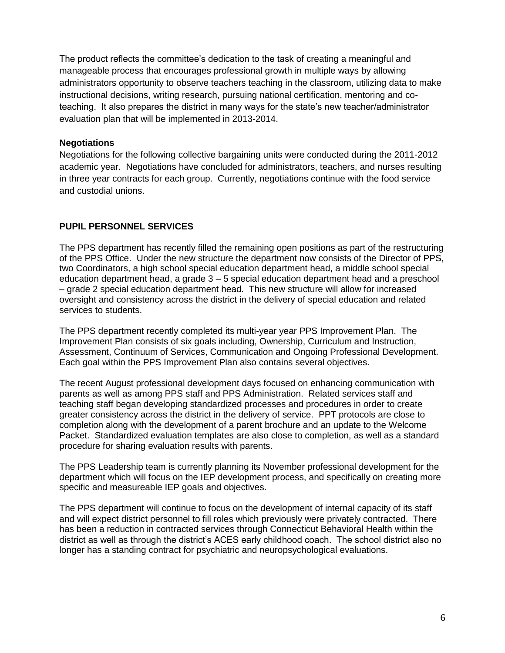The product reflects the committee's dedication to the task of creating a meaningful and manageable process that encourages professional growth in multiple ways by allowing administrators opportunity to observe teachers teaching in the classroom, utilizing data to make instructional decisions, writing research, pursuing national certification, mentoring and coteaching. It also prepares the district in many ways for the state's new teacher/administrator evaluation plan that will be implemented in 2013-2014.

#### **Negotiations**

Negotiations for the following collective bargaining units were conducted during the 2011-2012 academic year. Negotiations have concluded for administrators, teachers, and nurses resulting in three year contracts for each group. Currently, negotiations continue with the food service and custodial unions.

## **PUPIL PERSONNEL SERVICES**

The PPS department has recently filled the remaining open positions as part of the restructuring of the PPS Office. Under the new structure the department now consists of the Director of PPS, two Coordinators, a high school special education department head, a middle school special education department head, a grade 3 – 5 special education department head and a preschool – grade 2 special education department head. This new structure will allow for increased oversight and consistency across the district in the delivery of special education and related services to students.

The PPS department recently completed its multi-year year PPS Improvement Plan. The Improvement Plan consists of six goals including, Ownership, Curriculum and Instruction, Assessment, Continuum of Services, Communication and Ongoing Professional Development. Each goal within the PPS Improvement Plan also contains several objectives.

The recent August professional development days focused on enhancing communication with parents as well as among PPS staff and PPS Administration. Related services staff and teaching staff began developing standardized processes and procedures in order to create greater consistency across the district in the delivery of service. PPT protocols are close to completion along with the development of a parent brochure and an update to the Welcome Packet. Standardized evaluation templates are also close to completion, as well as a standard procedure for sharing evaluation results with parents.

The PPS Leadership team is currently planning its November professional development for the department which will focus on the IEP development process, and specifically on creating more specific and measureable IEP goals and objectives.

The PPS department will continue to focus on the development of internal capacity of its staff and will expect district personnel to fill roles which previously were privately contracted. There has been a reduction in contracted services through Connecticut Behavioral Health within the district as well as through the district's ACES early childhood coach. The school district also no longer has a standing contract for psychiatric and neuropsychological evaluations.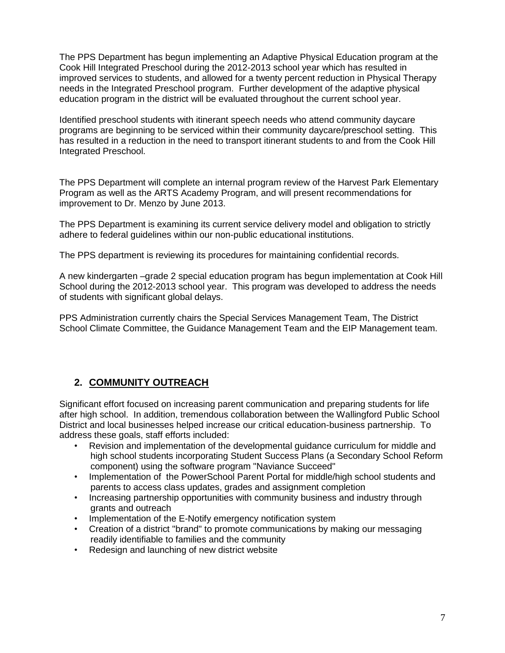The PPS Department has begun implementing an Adaptive Physical Education program at the Cook Hill Integrated Preschool during the 2012-2013 school year which has resulted in improved services to students, and allowed for a twenty percent reduction in Physical Therapy needs in the Integrated Preschool program. Further development of the adaptive physical education program in the district will be evaluated throughout the current school year.

Identified preschool students with itinerant speech needs who attend community daycare programs are beginning to be serviced within their community daycare/preschool setting. This has resulted in a reduction in the need to transport itinerant students to and from the Cook Hill Integrated Preschool.

The PPS Department will complete an internal program review of the Harvest Park Elementary Program as well as the ARTS Academy Program, and will present recommendations for improvement to Dr. Menzo by June 2013.

The PPS Department is examining its current service delivery model and obligation to strictly adhere to federal guidelines within our non-public educational institutions.

The PPS department is reviewing its procedures for maintaining confidential records.

A new kindergarten –grade 2 special education program has begun implementation at Cook Hill School during the 2012-2013 school year. This program was developed to address the needs of students with significant global delays.

PPS Administration currently chairs the Special Services Management Team, The District School Climate Committee, the Guidance Management Team and the EIP Management team.

# **2. COMMUNITY OUTREACH**

Significant effort focused on increasing parent communication and preparing students for life after high school. In addition, tremendous collaboration between the Wallingford Public School District and local businesses helped increase our critical education-business partnership. To address these goals, staff efforts included:

- Revision and implementation of the developmental guidance curriculum for middle and high school students incorporating Student Success Plans (a Secondary School Reform component) using the software program "Naviance Succeed"
- Implementation of the PowerSchool Parent Portal for middle/high school students and parents to access class updates, grades and assignment completion
- Increasing partnership opportunities with community business and industry through grants and outreach
- Implementation of the E-Notify emergency notification system
- Creation of a district "brand" to promote communications by making our messaging readily identifiable to families and the community
- Redesign and launching of new district website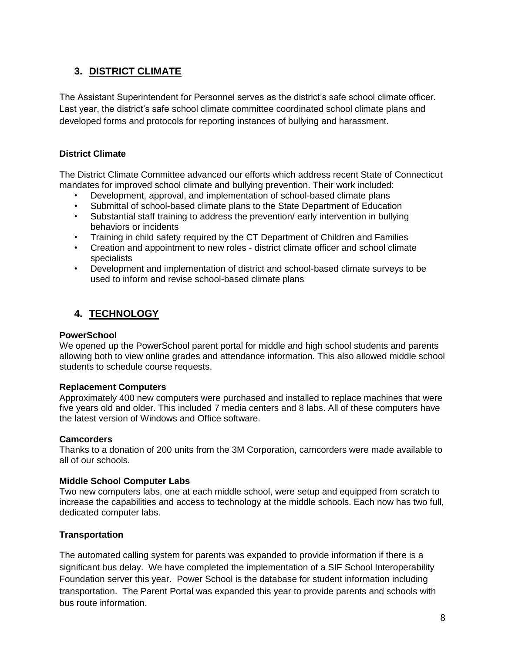# **3. DISTRICT CLIMATE**

The Assistant Superintendent for Personnel serves as the district's safe school climate officer. Last year, the district's safe school climate committee coordinated school climate plans and developed forms and protocols for reporting instances of bullying and harassment.

### **District Climate**

The District Climate Committee advanced our efforts which address recent State of Connecticut mandates for improved school climate and bullying prevention. Their work included:

- Development, approval, and implementation of school-based climate plans
- Submittal of school-based climate plans to the State Department of Education
- Substantial staff training to address the prevention/ early intervention in bullying behaviors or incidents
- Training in child safety required by the CT Department of Children and Families
- Creation and appointment to new roles district climate officer and school climate specialists
- Development and implementation of district and school-based climate surveys to be used to inform and revise school-based climate plans

# **4. TECHNOLOGY**

#### **PowerSchool**

We opened up the PowerSchool parent portal for middle and high school students and parents allowing both to view online grades and attendance information. This also allowed middle school students to schedule course requests.

### **Replacement Computers**

Approximately 400 new computers were purchased and installed to replace machines that were five years old and older. This included 7 media centers and 8 labs. All of these computers have the latest version of Windows and Office software.

#### **Camcorders**

Thanks to a donation of 200 units from the 3M Corporation, camcorders were made available to all of our schools.

### **Middle School Computer Labs**

Two new computers labs, one at each middle school, were setup and equipped from scratch to increase the capabilities and access to technology at the middle schools. Each now has two full, dedicated computer labs.

### **Transportation**

The automated calling system for parents was expanded to provide information if there is a significant bus delay. We have completed the implementation of a SIF School Interoperability Foundation server this year. Power School is the database for student information including transportation. The Parent Portal was expanded this year to provide parents and schools with bus route information.